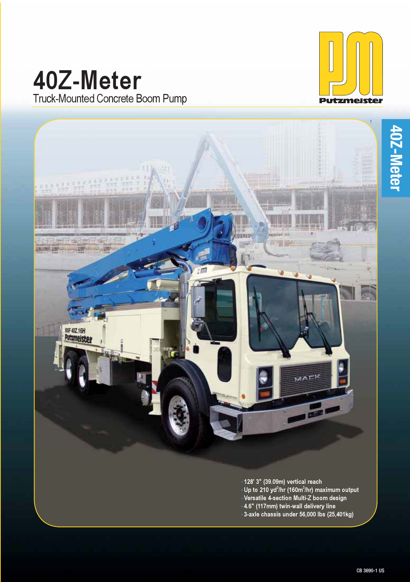# **40Z-Meter** Truck-Mounted Concrete Boom Pump



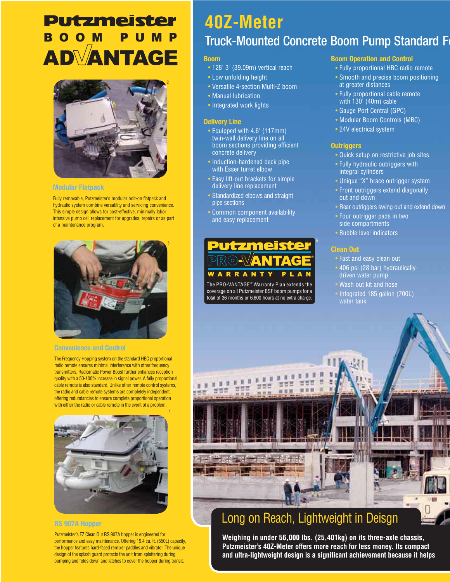# **Putzmeister** BOOM PUMP **ADVANTAGE**



#### **Modular Flatpack**

Fully removable, Putzmeister's modular bolt-on flatpack and hydraulic system combine versatility and servicing convenience. This simple design allows for cost-effective, minimally labor intensive pump cell replacement for upgrades, repairs or as part of a maintenance program.



#### **Convenience and Control**

The Frequency Hopping system on the standard HBC proportional radio remote ensures minimal interference with other frequency transmitters. Radiomatic Power Boost further enhances reception quality with a 50-100% increase in signal power. A fully proportional cable remote is also standard. Unlike other remote control systems, the radio and cable remote systems are completely independent, offering redundancies to ensure complete proportional operation with either the radio or cable remote in the event of a problem.



# **RS 907A Hopper**

Putzmeister's EZ Clean Out RS 907A hopper is engineered for performance and easy maintenance. Offering 19.4 cu. ft. (550L) capacity, the hopper features hard-faced remixer paddles and vibrator. The unique design of the splash guard protects the unit from splattering during pumping and folds down and latches to cover the hopper during transit.

# **40Z-Meter** Truck-Mounted Concrete Boom Pump Standard F

## **Boom**

- 128' 3" (39.09m) vertical reach
- Low unfolding height
- Versatile 4-section Multi-Z boom
- Manual lubrication
- Integrated work lights

#### **Delivery Line**

- Equipped with 4.6" (117mm) twin-wall delivery line on all boom sections providing efficient concrete delivery
- Induction-hardened deck pipe with Esser turret elbow
- Easy lift-out brackets for simple delivery line replacement
- Standardized elbows and straight pipe sections
- Common component availability and easy replacement



The PRO-VANTAGE® Warranty Plan extends the coverage on all Putzmeister BSF boom pumps for a total of 36 months or 6,600 hours at no extra charge.

### **Boom Operation and Control**

- Fully proportional HBC radio remote
- Smooth and precise boom positioning at greater distances
- Fully proportional cable remote with 130<sup>'</sup> (40m) cable
- Gauge Port Central (GPC)
- Modular Boom Controls (MBC)
- 24V electrical system

#### **Outriggers**

- Quick setup on restrictive job sites
- Fully hydraulic outriggers with integral cylinders
- Unique "X" brace outrigger system
- Front outriggers extend diagonally out and down
- Rear outriggers swing out and extend down
- Four outrigger pads in two side compartments
- Bubble level indicators

#### **Clean Out**

- Fast and easy clean out
- 406 psi (28 bar) hydraulicallydriven water pump
	- Wash out kit and hose
- Integrated 185 gallon (700L) water tank



# Long on Reach, Lightweight in Deisgn

**Weighing in under 56,000 lbs. (25,401kg) on its three-axle chassis, Putzmeister's 40Z-Meter offers more reach for less money. Its compact and ultra-lightweight design is a significant achievement because it helps**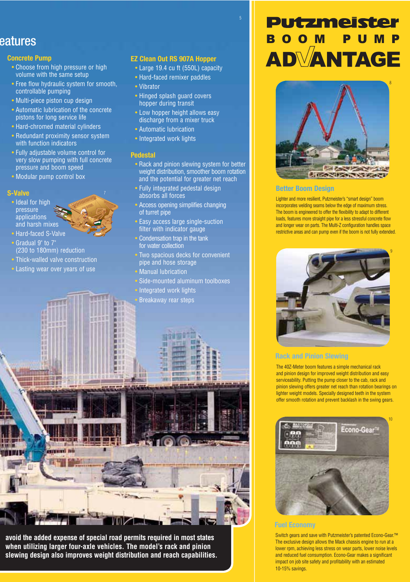# eatures

## **B Concrete Pump**

- Choose from high pressure or high volume with the same setup
- Free flow hydraulic system for smooth, controllable pumping
- Multi-piece piston cup design
- Automatic lubrication of the concrete pistons for long service life
- Hard-chromed material cylinders
- Redundant proximity sensor system with function indicators
- Fully adjustable volume control for very slow pumping with full concrete pressure and boom speed
- Modular pump control box

# **S-Valve**



- Gradual 9" to 7" (230 to 180mm) reduction
- Thick-walled valve construction
- Lasting wear over years of use

**YELLET** 

# **EZ Clean Out RS 907A Hopper**

• Large 19.4 cu ft (550L) capacity

5

- Hard-faced remixer paddles
- Vibrator
- Hinged splash guard covers hopper during transit
- Low hopper height allows easy discharge from a mixer truck
- Automatic lubrication
- Integrated work lights

### **Pedestal**

- Rack and pinion slewing system for better weight distribution, smoother boom rotation and the potential for greater net reach
- Fully integrated pedestal design absorbs all forces
- Access opening simplifies changing of turret pipe
- Easy access large single-suction filter with indicator gauge
	- Condensation trap in the tank for water collection
	- Two spacious decks for convenient pipe and hose storage
	- Manual lubrication
	- Side-mounted aluminum toolboxes
	- **Integrated work lights** • Breakaway rear steps





#### **Better Boom Design**

Lighter and more resilient, Putzmeister's "smart design" boom incorporates welding seams below the edge of maximum stress. The boom is engineered to offer the flexibility to adapt to different loads, features more straight pipe for a less stressful concrete flow and longer wear on parts. The Multi-Z configuration handles space restrictive areas and can pump even if the boom is not fully extended.



### **Rack and Pinion Slewing**

The 40Z-Meter boom features a simple mechanical rack and pinion design for improved weight distribution and easy serviceability. Putting the pump closer to the cab, rack and pinion slewing offers greater net reach than rotation bearings on lighter weight models. Specially designed teeth in the system offer smooth rotation and prevent backlash in the swing gears.



### **Fuel Economy**

Switch gears and save with Putzmeister's patented Econo-Gear.™ The exclusive design allows the Mack chassis engine to run at a lower rpm, achieving less stress on wear parts, lower noise levels and reduced fuel consumption. Econo-Gear makes a significant impact on job site safety and profitability with an estimated 10-15% savings.



**INTERT** 

**avoid the added expense of special road permits required in most states when utilizing larger four-axle vehicles. The model's rack and pinion slewing design also improves weight distribution and reach capabilities.**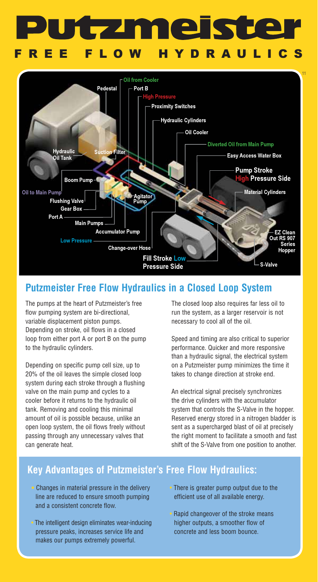# **in e**  $\mathbf{z}$ **EE FLOW HYDRAUL**



# **Putzmeister Free Flow Hydraulics in a Closed Loop System**

The pumps at the heart of Putzmeister's free flow pumping system are bi-directional, variable displacement piston pumps. Depending on stroke, oil flows in a closed loop from either port A or port B on the pump to the hydraulic cylinders.

Depending on specific pump cell size, up to 20% of the oil leaves the simple closed loop system during each stroke through a flushing valve on the main pump and cycles to a cooler before it returns to the hydraulic oil tank. Removing and cooling this minimal amount of oil is possible because, unlike an open loop system, the oil flows freely without passing through any unnecessary valves that can generate heat.

The closed loop also requires far less oil to run the system, as a larger reservoir is not necessary to cool all of the oil.

Speed and timing are also critical to superior performance. Quicker and more responsive than a hydraulic signal, the electrical system on a Putzmeister pump minimizes the time it takes to change direction at stroke end.

An electrical signal precisely synchronizes the drive cylinders with the accumulator system that controls the S-Valve in the hopper. Reserved energy stored in a nitrogen bladder is sent as a supercharged blast of oil at precisely the right moment to facilitate a smooth and fast shift of the S-Valve from one position to another.

# **Key Advantages of Putzmeister's Free Flow Hydraulics:**

- Changes in material pressure in the delivery line are reduced to ensure smooth pumping and a consistent concrete flow.
- The intelligent design eliminates wear-inducing pressure peaks, increases service life and makes our pumps extremely powerful.
- There is greater pump output due to the efficient use of all available energy.
- Rapid changeover of the stroke means higher outputs, a smoother flow of concrete and less boom bounce.